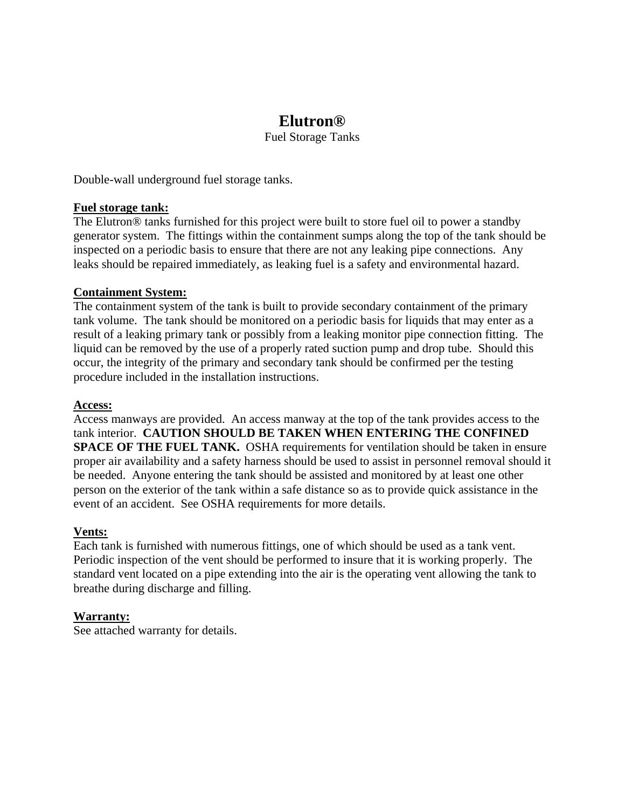# **Elutron®**

Fuel Storage Tanks

Double-wall underground fuel storage tanks.

# **Fuel storage tank:**

The Elutron® tanks furnished for this project were built to store fuel oil to power a standby generator system. The fittings within the containment sumps along the top of the tank should be inspected on a periodic basis to ensure that there are not any leaking pipe connections. Any leaks should be repaired immediately, as leaking fuel is a safety and environmental hazard.

# **Containment System:**

The containment system of the tank is built to provide secondary containment of the primary tank volume. The tank should be monitored on a periodic basis for liquids that may enter as a result of a leaking primary tank or possibly from a leaking monitor pipe connection fitting. The liquid can be removed by the use of a properly rated suction pump and drop tube. Should this occur, the integrity of the primary and secondary tank should be confirmed per the testing procedure included in the installation instructions.

## **Access:**

Access manways are provided. An access manway at the top of the tank provides access to the tank interior. **CAUTION SHOULD BE TAKEN WHEN ENTERING THE CONFINED SPACE OF THE FUEL TANK.** OSHA requirements for ventilation should be taken in ensure proper air availability and a safety harness should be used to assist in personnel removal should it be needed. Anyone entering the tank should be assisted and monitored by at least one other person on the exterior of the tank within a safe distance so as to provide quick assistance in the event of an accident. See OSHA requirements for more details.

## **Vents:**

Each tank is furnished with numerous fittings, one of which should be used as a tank vent. Periodic inspection of the vent should be performed to insure that it is working properly. The standard vent located on a pipe extending into the air is the operating vent allowing the tank to breathe during discharge and filling.

# **Warranty:**

See attached warranty for details.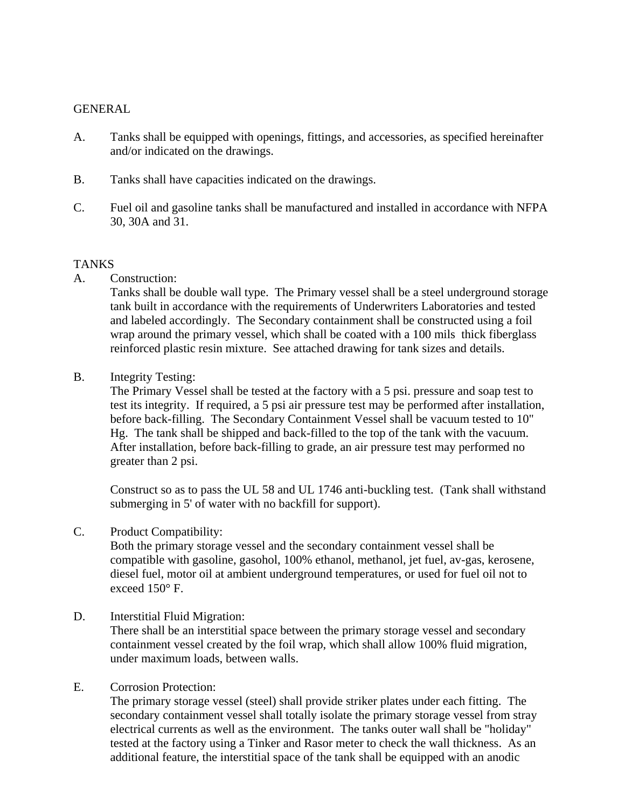# GENERAL

- A. Tanks shall be equipped with openings, fittings, and accessories, as specified hereinafter and/or indicated on the drawings.
- B. Tanks shall have capacities indicated on the drawings.
- C. Fuel oil and gasoline tanks shall be manufactured and installed in accordance with NFPA 30, 30A and 31.

## TANKS

A. Construction:

 Tanks shall be double wall type. The Primary vessel shall be a steel underground storage tank built in accordance with the requirements of Underwriters Laboratories and tested and labeled accordingly. The Secondary containment shall be constructed using a foil wrap around the primary vessel, which shall be coated with a 100 mils thick fiberglass reinforced plastic resin mixture. See attached drawing for tank sizes and details.

B. Integrity Testing:

 The Primary Vessel shall be tested at the factory with a 5 psi. pressure and soap test to test its integrity. If required, a 5 psi air pressure test may be performed after installation, before back-filling. The Secondary Containment Vessel shall be vacuum tested to 10" Hg. The tank shall be shipped and back-filled to the top of the tank with the vacuum. After installation, before back-filling to grade, an air pressure test may performed no greater than 2 psi.

 Construct so as to pass the UL 58 and UL 1746 anti-buckling test. (Tank shall withstand submerging in 5' of water with no backfill for support).

C. Product Compatibility:

 Both the primary storage vessel and the secondary containment vessel shall be compatible with gasoline, gasohol, 100% ethanol, methanol, jet fuel, av-gas, kerosene, diesel fuel, motor oil at ambient underground temperatures, or used for fuel oil not to exceed 150° F.

D. Interstitial Fluid Migration:

 There shall be an interstitial space between the primary storage vessel and secondary containment vessel created by the foil wrap, which shall allow 100% fluid migration, under maximum loads, between walls.

## E. Corrosion Protection:

 The primary storage vessel (steel) shall provide striker plates under each fitting. The secondary containment vessel shall totally isolate the primary storage vessel from stray electrical currents as well as the environment. The tanks outer wall shall be "holiday" tested at the factory using a Tinker and Rasor meter to check the wall thickness. As an additional feature, the interstitial space of the tank shall be equipped with an anodic